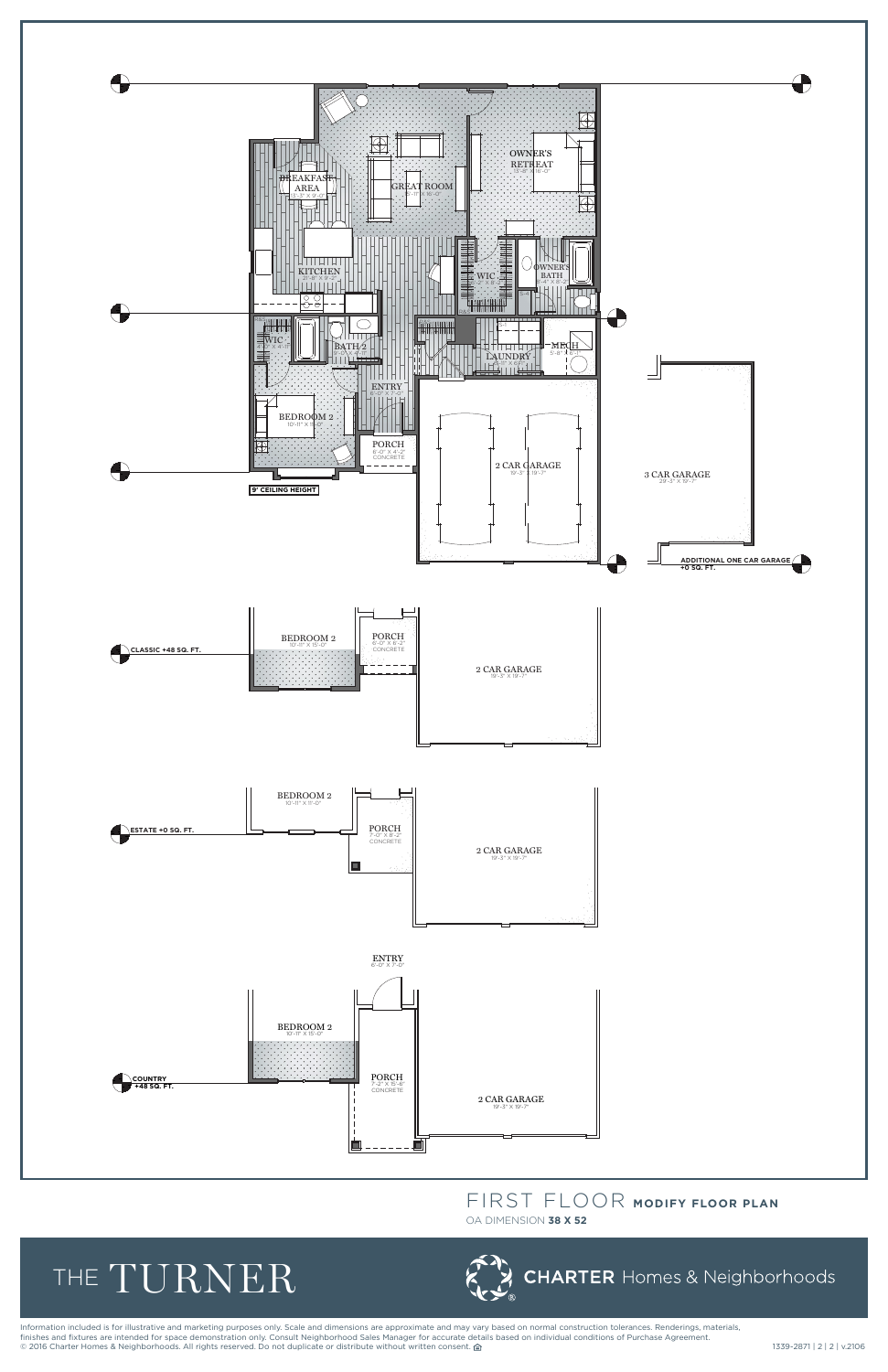

## **FIRST FLOOR FLOOR FLOOR FLOOR**<br> **FIRST FLOOR**<br> **FIRST FLOOR**<br> **FIRST FLOOR** FIRST FLOOR **MODIFY FLOOR PLAN**

Information included is for illustrative and marketing purposes only. Scale and dimensions are approximate and may vary based on normal construction tolerances. Renderings, materials, finishes and fixtures are intended for space demonstration only. Consult Neighborhood Sales Manager for accurate details based on individual conditions of Purchase Agreement. nnarios and interios are incrition to place demonstrative integrative respective tends integrated to accept a consent. a<br>◎ 2016 Charter Homes & Neighborhoods. All rights reserved. Do not duplicate or distribute without w

OA DIMENSION **38 X 52**

## the TURNER

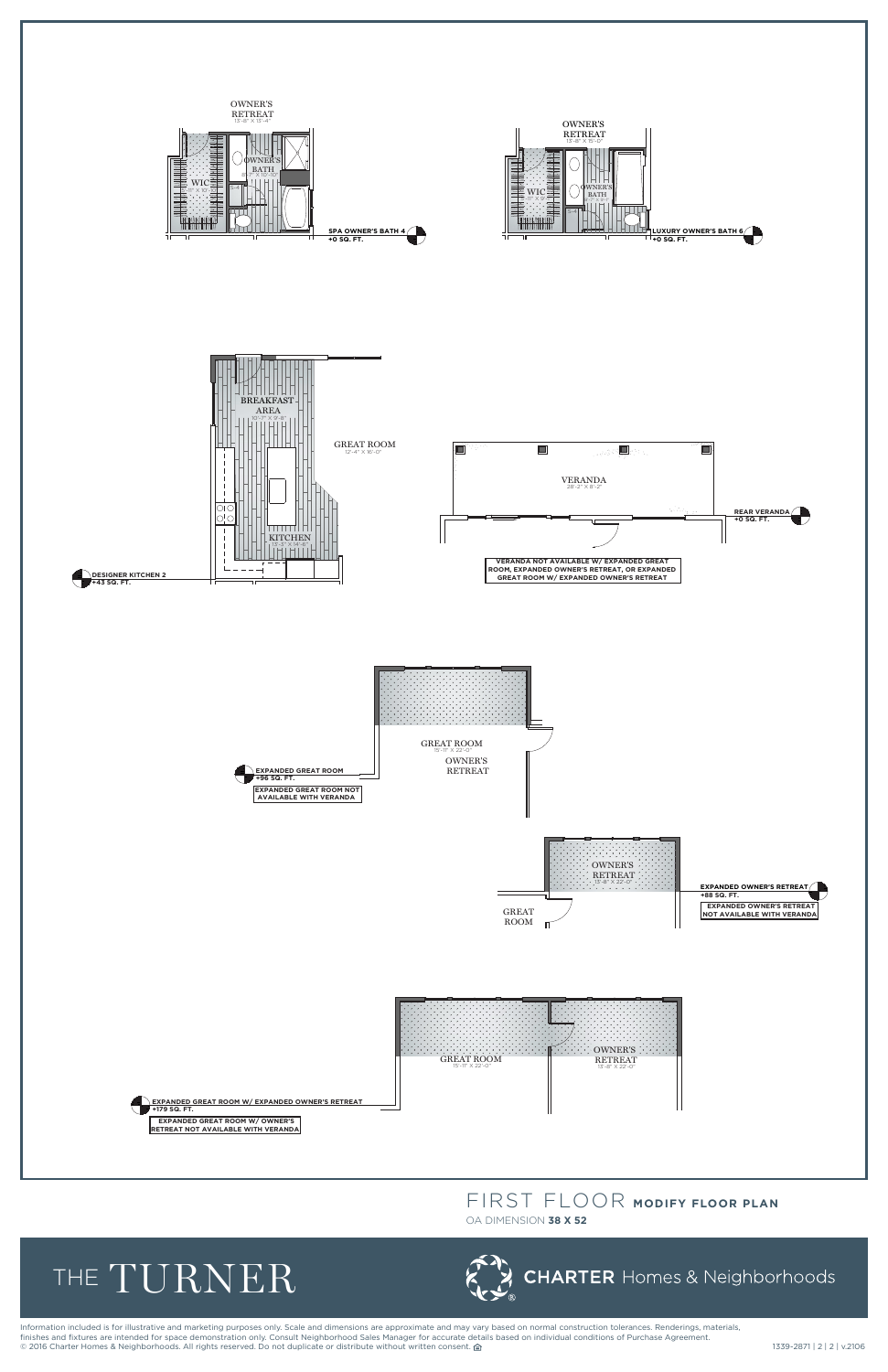Information included is for illustrative and marketing purposes only. Scale and dimensions are approximate and may vary based on normal construction tolerances. Renderings, materials, finishes and fixtures are intended for space demonstration only. Consult Neighborhood Sales Manager for accurate details based on individual conditions of Purchase Agreement. © 2016 Charter Homes & Neighborhoods. All rights reserved. Do not duplicate or distribute without written consent. △<br>● 2016 Charter Homes & Neighborhoods. All rights reserved. Do not duplicate or distribute without writte

# **TURNER FL** FIRST FLOOR **MODIFY FLOOR PLAN**



OA DIMENSION **38 X 52**

# THE TURNER

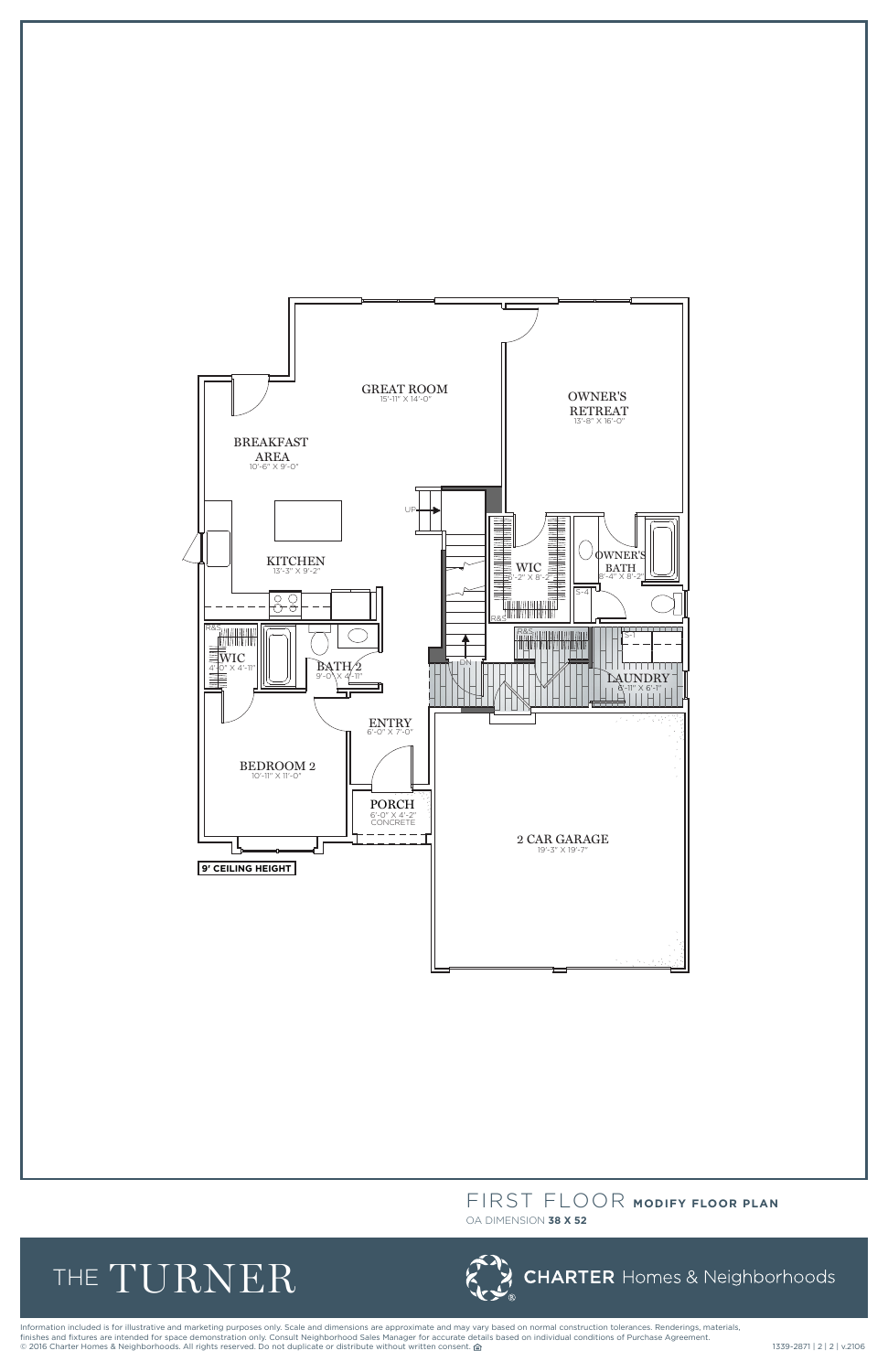

Information included is for illustrative and marketing purposes only. Scale and dimensions are approximate and may vary based on normal construction tolerances. Renderings, materials, finishes and fixtures are intended for space demonstration only. Consult Neighborhood Sales Manager for accurate details based on individual conditions of Purchase Agreement. mishes and hattires are incritive for space demonstration only. Consume respiration can determined the section of determine and the section of the section of the section of the section of the section of the section of the

## FIRST FLOOR **MODIFY FLOOR PLAN**

OA DIMENSION **38 X 52**

# the TURNER

**CHARTER** Homes & Neighborhoods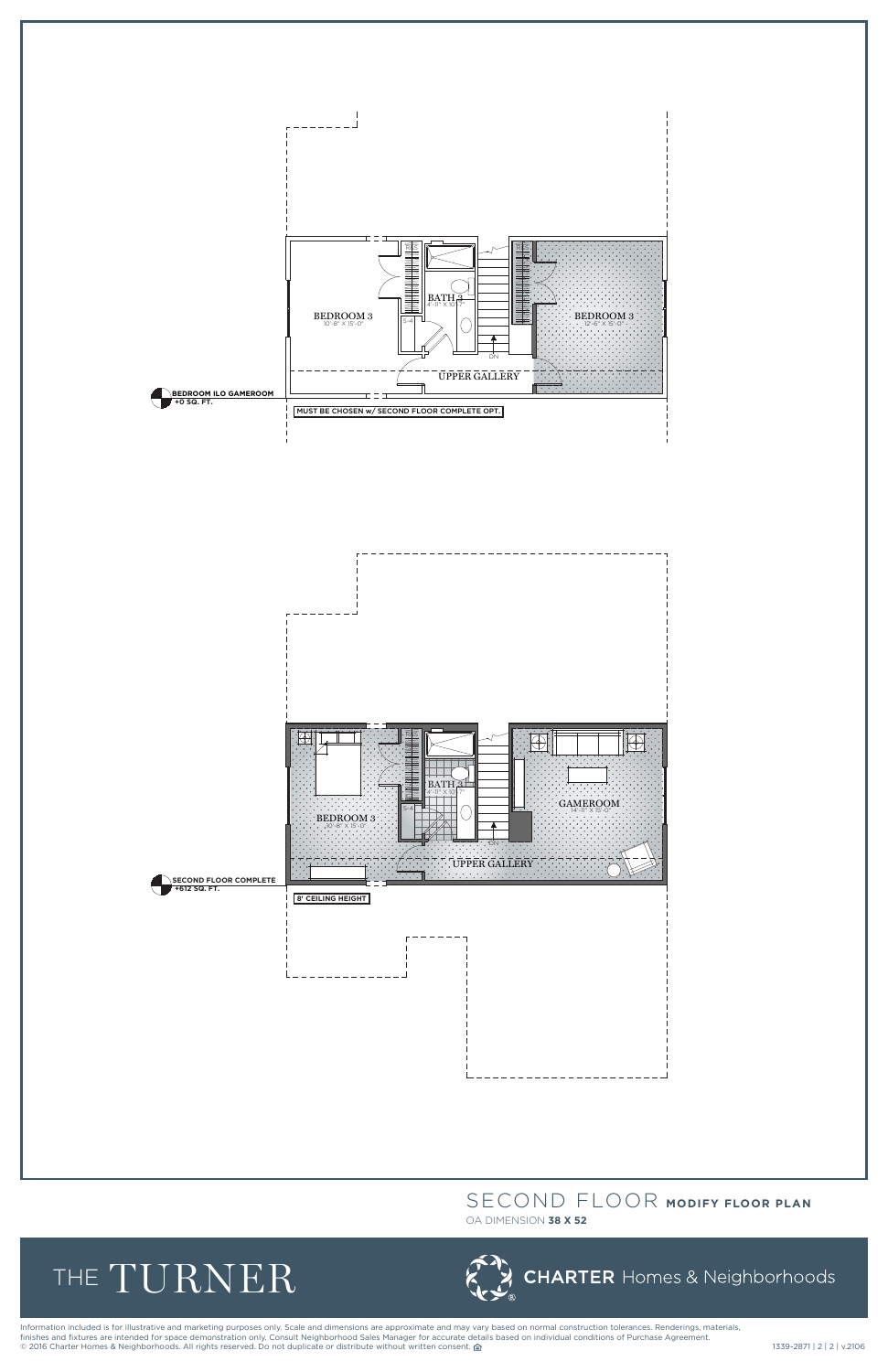



Information included is for illustrative and marketing purposes only. Scale and dimensions are approximate and may vary based on normal construction tolerances. Renderings, materials, finishes and fixtures are intended for space demonstration only. Consult Neighborhood Sales Manager for accurate details based on individual conditions of Purchase Agreement. © 2016 Charter Homes & Neighborhoods. All rights reserved. Do not duplicate or distribute without written consent. △<br>
339-2871 | 2 | v.2106

## SECOND FLOOR **MODIFY FLOOR PLAN**

#### OA DIMENSION **38 X 52**

# the TURNER